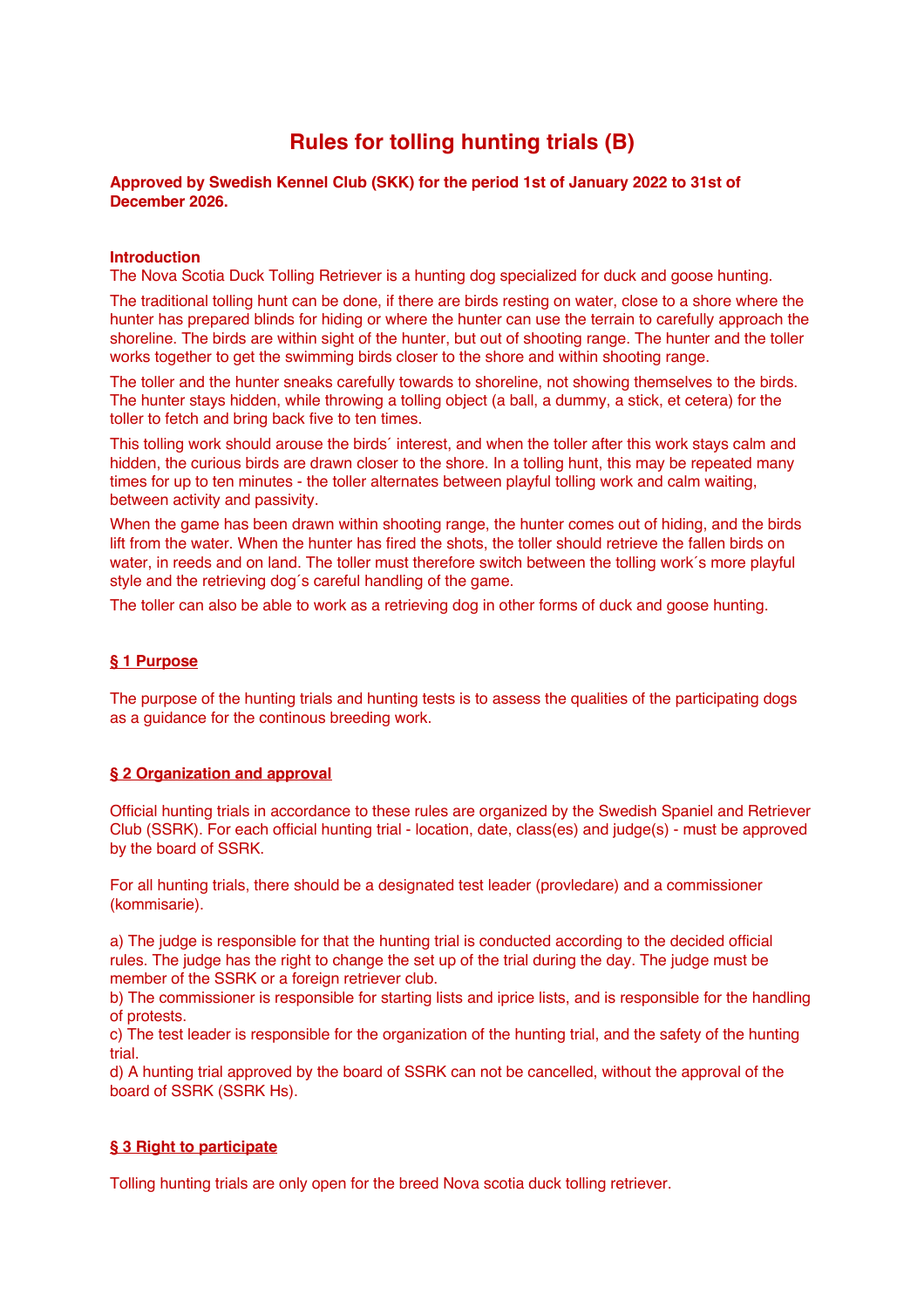# **Rules for tolling hunting trials (B)**

# **Approved by Swedish Kennel Club (SKK) for the period 1st of January 2022 to 31st of December 2026.**

# **Introduction**

The Nova Scotia Duck Tolling Retriever is a hunting dog specialized for duck and goose hunting.

The traditional tolling hunt can be done, if there are birds resting on water, close to a shore where the hunter has prepared blinds for hiding or where the hunter can use the terrain to carefully approach the shoreline. The birds are within sight of the hunter, but out of shooting range. The hunter and the toller works together to get the swimming birds closer to the shore and within shooting range.

The toller and the hunter sneaks carefully towards to shoreline, not showing themselves to the birds. The hunter stays hidden, while throwing a tolling object (a ball, a dummy, a stick, et cetera) for the toller to fetch and bring back five to ten times.

This tolling work should arouse the birds´ interest, and when the toller after this work stays calm and hidden, the curious birds are drawn closer to the shore. In a tolling hunt, this may be repeated many times for up to ten minutes - the toller alternates between playful tolling work and calm waiting, between activity and passivity.

When the game has been drawn within shooting range, the hunter comes out of hiding, and the birds lift from the water. When the hunter has fired the shots, the toller should retrieve the fallen birds on water, in reeds and on land. The toller must therefore switch between the tolling work´s more playful style and the retrieving dog´s careful handling of the game.

The toller can also be able to work as a retrieving dog in other forms of duck and goose hunting.

# **§ 1 Purpose**

The purpose of the hunting trials and hunting tests is to assess the qualities of the participating dogs as a guidance for the continous breeding work.

# **§ 2 Organization and approval**

Official hunting trials in accordance to these rules are organized by the Swedish Spaniel and Retriever Club (SSRK). For each official hunting trial - location, date, class(es) and judge(s) - must be approved by the board of SSRK.

For all hunting trials, there should be a designated test leader (provledare) and a commissioner (kommisarie).

a) The judge is responsible for that the hunting trial is conducted according to the decided official rules. The judge has the right to change the set up of the trial during the day. The judge must be member of the SSRK or a foreign retriever club.

b) The commissioner is responsible for starting lists and iprice lists, and is responsible for the handling of protests.

c) The test leader is responsible for the organization of the hunting trial, and the safety of the hunting trial.

d) A hunting trial approved by the board of SSRK can not be cancelled, without the approval of the board of SSRK (SSRK Hs).

# **§ 3 Right to participate**

Tolling hunting trials are only open for the breed Nova scotia duck tolling retriever.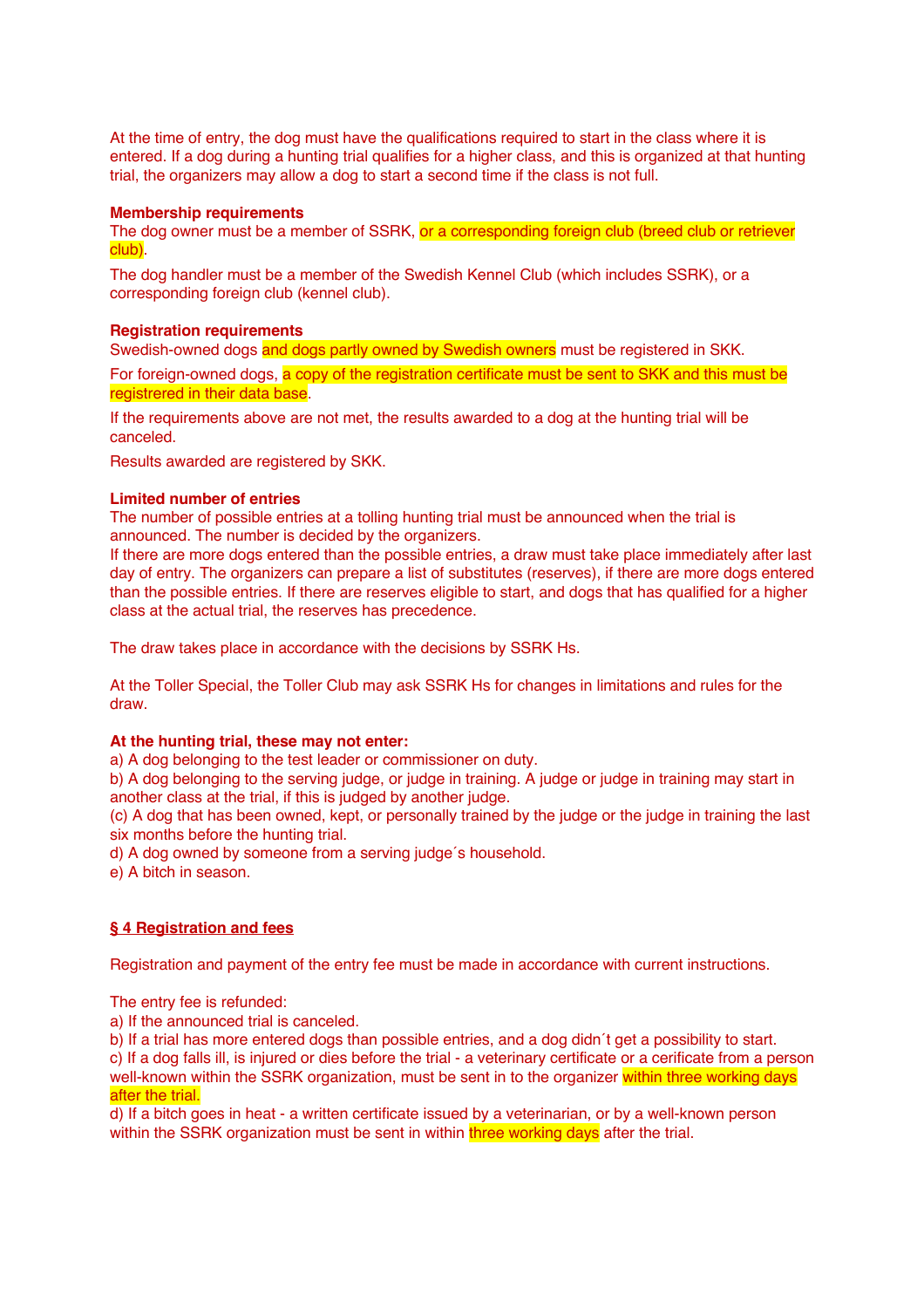At the time of entry, the dog must have the qualifications required to start in the class where it is entered. If a dog during a hunting trial qualifies for a higher class, and this is organized at that hunting trial, the organizers may allow a dog to start a second time if the class is not full.

# **Membership requirements**

The dog owner must be a member of SSRK, or a corresponding foreign club (breed club or retriever club).

The dog handler must be a member of the Swedish Kennel Club (which includes SSRK), or a corresponding foreign club (kennel club).

# **Registration requirements**

Swedish-owned dogs and dogs partly owned by Swedish owners must be registered in SKK.

For foreign-owned dogs, a copy of the registration certificate must be sent to SKK and this must be registrered in their data base.

If the requirements above are not met, the results awarded to a dog at the hunting trial will be canceled.

Results awarded are registered by SKK.

# **Limited number of entries**

The number of possible entries at a tolling hunting trial must be announced when the trial is announced. The number is decided by the organizers.

If there are more dogs entered than the possible entries, a draw must take place immediately after last day of entry. The organizers can prepare a list of substitutes (reserves), if there are more dogs entered than the possible entries. If there are reserves eligible to start, and dogs that has qualified for a higher class at the actual trial, the reserves has precedence.

The draw takes place in accordance with the decisions by SSRK Hs.

At the Toller Special, the Toller Club may ask SSRK Hs for changes in limitations and rules for the draw.

# **At the hunting trial, these may not enter:**

a) A dog belonging to the test leader or commissioner on duty.

b) A dog belonging to the serving judge, or judge in training. A judge or judge in training may start in another class at the trial, if this is judged by another judge.

(c) A dog that has been owned, kept, or personally trained by the judge or the judge in training the last six months before the hunting trial.

d) A dog owned by someone from a serving judge´s household.

e) A bitch in season.

# **§ 4 Registration and fees**

Registration and payment of the entry fee must be made in accordance with current instructions.

The entry fee is refunded:

a) If the announced trial is canceled.

b) If a trial has more entered dogs than possible entries, and a dog didn´t get a possibility to start. c) If a dog falls ill, is injured or dies before the trial - a veterinary certificate or a cerificate from a person well-known within the SSRK organization, must be sent in to the organizer within three working days after the trial.

d) If a bitch goes in heat - a written certificate issued by a veterinarian, or by a well-known person within the SSRK organization must be sent in within three working days after the trial.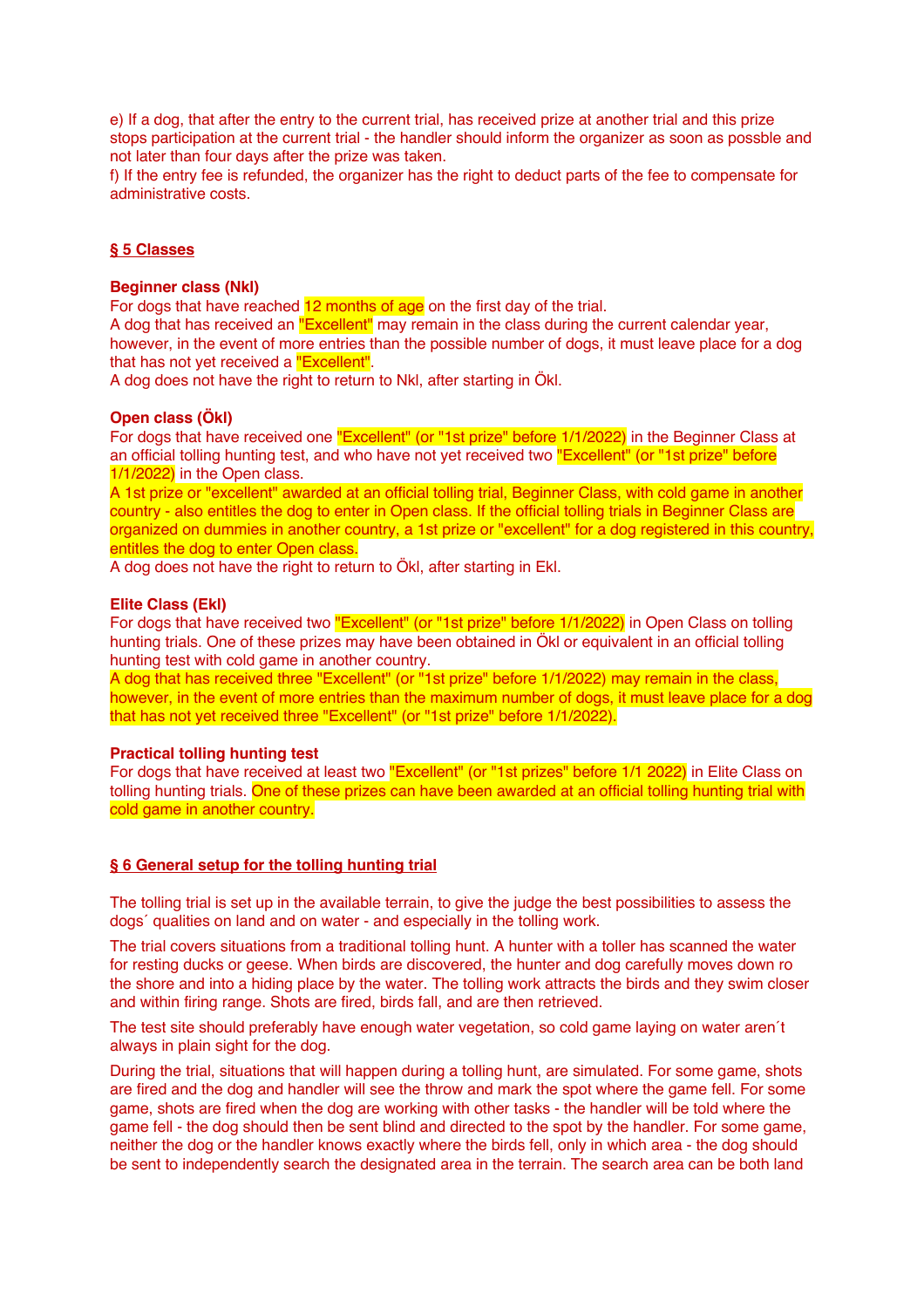e) If a dog, that after the entry to the current trial, has received prize at another trial and this prize stops participation at the current trial - the handler should inform the organizer as soon as possble and not later than four days after the prize was taken.

f) If the entry fee is refunded, the organizer has the right to deduct parts of the fee to compensate for administrative costs.

# **§ 5 Classes**

## **Beginner class (Nkl)**

For dogs that have reached 12 months of age on the first day of the trial.

A dog that has received an "Excellent" may remain in the class during the current calendar year, however, in the event of more entries than the possible number of dogs, it must leave place for a dog that has not yet received a "Excellent".

A dog does not have the right to return to Nkl, after starting in Ökl.

## **Open class (Ökl)**

For dogs that have received one "Excellent" (or "1st prize" before 1/1/2022) in the Beginner Class at an official tolling hunting test, and who have not yet received two "Excellent" (or "1st prize" before 1/1/2022) in the Open class.

A 1st prize or "excellent" awarded at an official tolling trial, Beginner Class, with cold game in another country - also entitles the dog to enter in Open class. If the official tolling trials in Beginner Class are organized on dummies in another country, a 1st prize or "excellent" for a dog registered in this country, entitles the dog to enter Open class.

A dog does not have the right to return to Ökl, after starting in Ekl.

# **Elite Class (Ekl)**

For dogs that have received two "Excellent" (or "1st prize" before 1/1/2022) in Open Class on tolling hunting trials. One of these prizes may have been obtained in Ökl or equivalent in an official tolling hunting test with cold game in another country.

A dog that has received three "Excellent" (or "1st prize" before 1/1/2022) may remain in the class, however, in the event of more entries than the maximum number of dogs, it must leave place for a dog that has not yet received three "Excellent" (or "1st prize" before 1/1/2022).

#### **Practical tolling hunting test**

For dogs that have received at least two "Excellent" (or "1st prizes" before 1/1 2022) in Elite Class on tolling hunting trials. One of these prizes can have been awarded at an official tolling hunting trial with cold game in another country.

# **§ 6 General setup for the tolling hunting trial**

The tolling trial is set up in the available terrain, to give the judge the best possibilities to assess the dogs´ qualities on land and on water - and especially in the tolling work.

The trial covers situations from a traditional tolling hunt. A hunter with a toller has scanned the water for resting ducks or geese. When birds are discovered, the hunter and dog carefully moves down ro the shore and into a hiding place by the water. The tolling work attracts the birds and they swim closer and within firing range. Shots are fired, birds fall, and are then retrieved.

The test site should preferably have enough water vegetation, so cold game laying on water aren´t always in plain sight for the dog.

During the trial, situations that will happen during a tolling hunt, are simulated. For some game, shots are fired and the dog and handler will see the throw and mark the spot where the game fell. For some game, shots are fired when the dog are working with other tasks - the handler will be told where the game fell - the dog should then be sent blind and directed to the spot by the handler. For some game, neither the dog or the handler knows exactly where the birds fell, only in which area - the dog should be sent to independently search the designated area in the terrain. The search area can be both land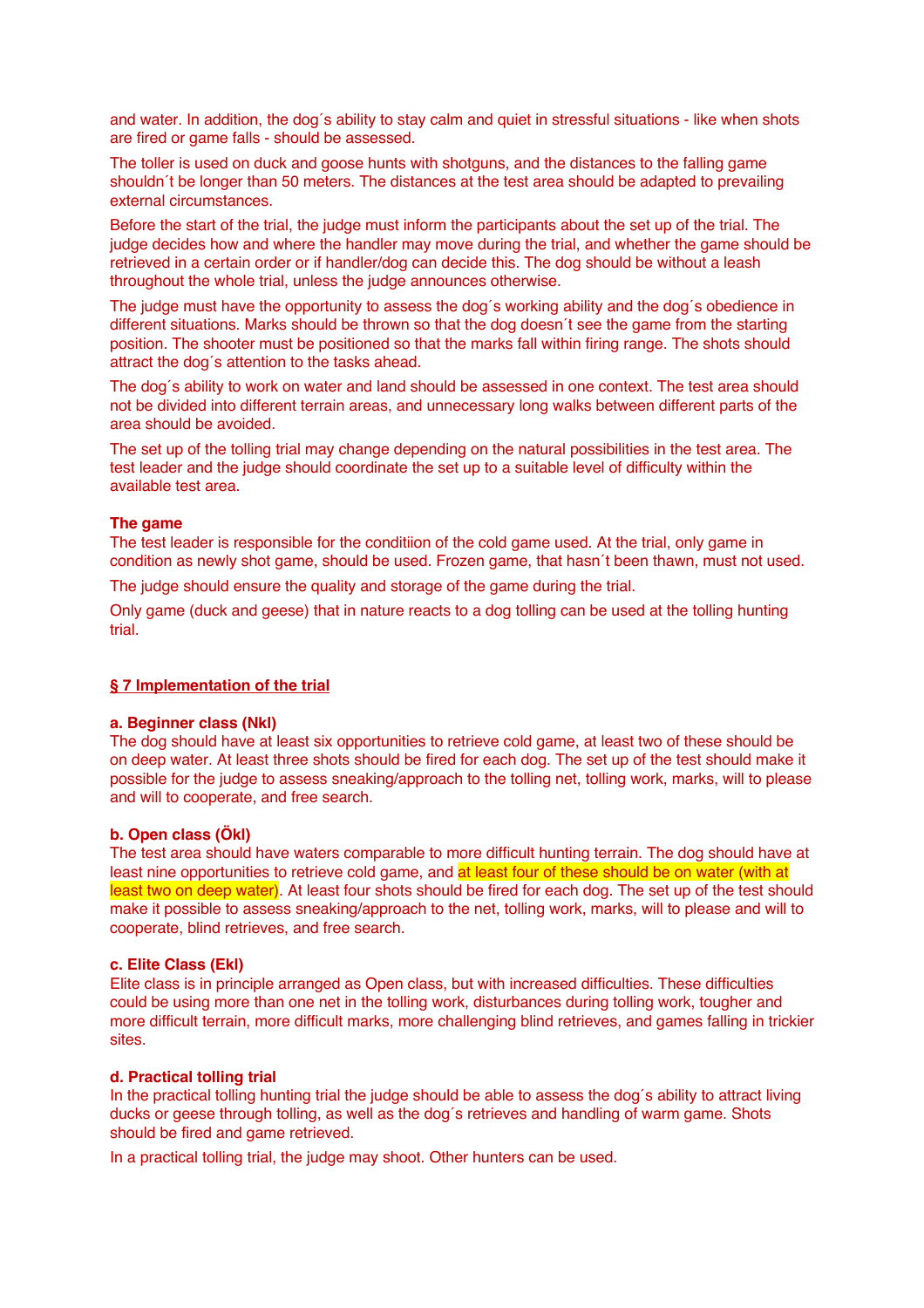and water. In addition, the dog´s ability to stay calm and quiet in stressful situations - like when shots are fired or game falls - should be assessed.

The toller is used on duck and goose hunts with shotguns, and the distances to the falling game shouldn´t be longer than 50 meters. The distances at the test area should be adapted to prevailing external circumstances.

Before the start of the trial, the judge must inform the participants about the set up of the trial. The judge decides how and where the handler may move during the trial, and whether the game should be retrieved in a certain order or if handler/dog can decide this. The dog should be without a leash throughout the whole trial, unless the judge announces otherwise.

The judge must have the opportunity to assess the dog´s working ability and the dog´s obedience in different situations. Marks should be thrown so that the dog doesn´t see the game from the starting position. The shooter must be positioned so that the marks fall within firing range. The shots should attract the dog´s attention to the tasks ahead.

The dog´s ability to work on water and land should be assessed in one context. The test area should not be divided into different terrain areas, and unnecessary long walks between different parts of the area should be avoided.

The set up of the tolling trial may change depending on the natural possibilities in the test area. The test leader and the judge should coordinate the set up to a suitable level of difficulty within the available test area.

# **The game**

The test leader is responsible for the conditiion of the cold game used. At the trial, only game in condition as newly shot game, should be used. Frozen game, that hasn´t been thawn, must not used.

The judge should ensure the quality and storage of the game during the trial.

Only game (duck and geese) that in nature reacts to a dog tolling can be used at the tolling hunting trial.

# **§ 7 Implementation of the trial**

# **a. Beginner class (Nkl)**

The dog should have at least six opportunities to retrieve cold game, at least two of these should be on deep water. At least three shots should be fired for each dog. The set up of the test should make it possible for the judge to assess sneaking/approach to the tolling net, tolling work, marks, will to please and will to cooperate, and free search.

# **b. Open class (Ökl)**

The test area should have waters comparable to more difficult hunting terrain. The dog should have at least nine opportunities to retrieve cold game, and at least four of these should be on water (with at least two on deep water). At least four shots should be fired for each dog. The set up of the test should make it possible to assess sneaking/approach to the net, tolling work, marks, will to please and will to cooperate, blind retrieves, and free search.

# **c. Elite Class (Ekl)**

Elite class is in principle arranged as Open class, but with increased difficulties. These difficulties could be using more than one net in the tolling work, disturbances during tolling work, tougher and more difficult terrain, more difficult marks, more challenging blind retrieves, and games falling in trickier sites.

# **d. Practical tolling trial**

In the practical tolling hunting trial the judge should be able to assess the dog´s ability to attract living ducks or geese through tolling, as well as the dog´s retrieves and handling of warm game. Shots should be fired and game retrieved.

In a practical tolling trial, the judge may shoot. Other hunters can be used.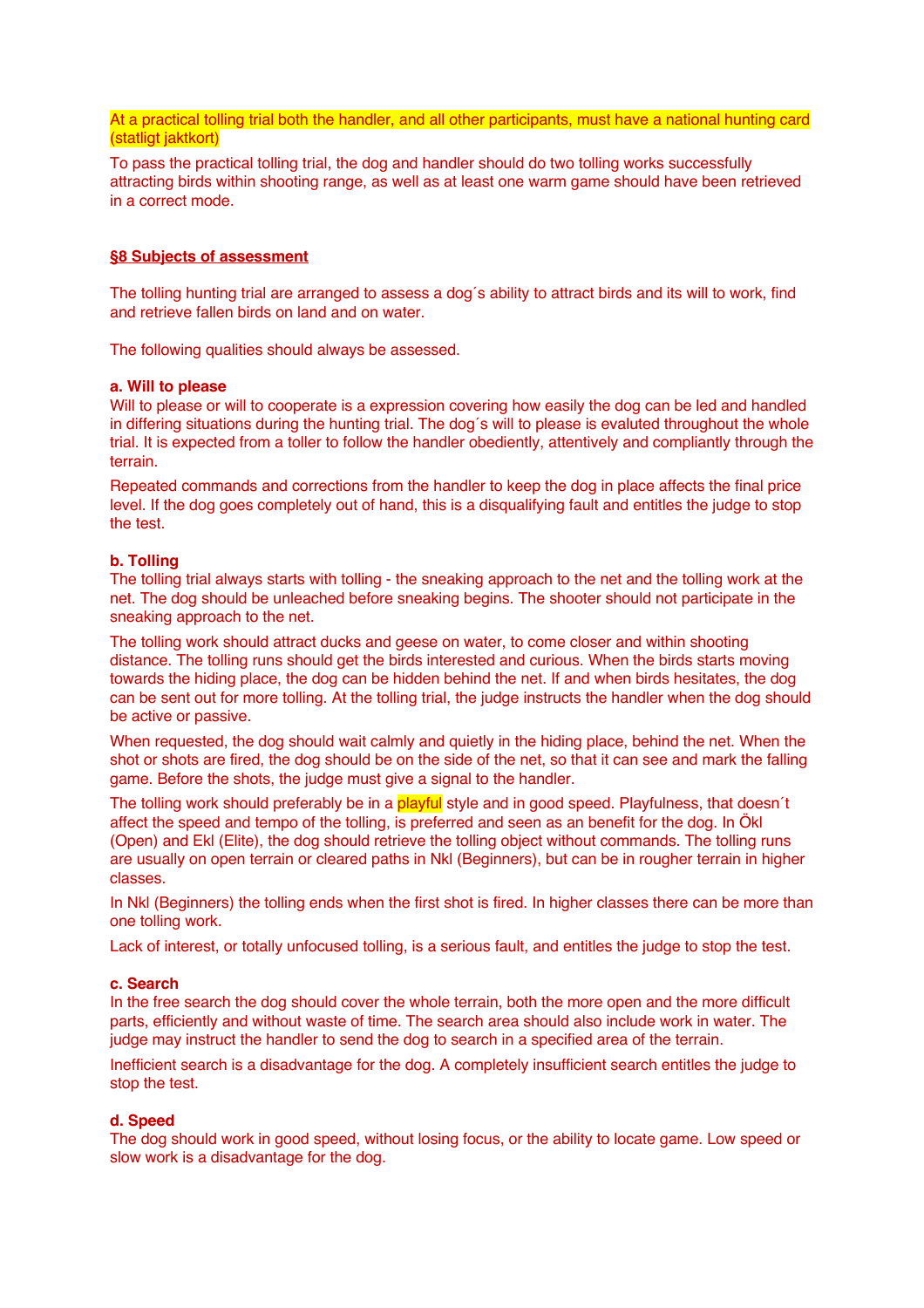At a practical tolling trial both the handler, and all other participants, must have a national hunting card (statligt jaktkort)

To pass the practical tolling trial, the dog and handler should do two tolling works successfully attracting birds within shooting range, as well as at least one warm game should have been retrieved in a correct mode.

# **§8 Subjects of assessment**

The tolling hunting trial are arranged to assess a dog´s ability to attract birds and its will to work, find and retrieve fallen birds on land and on water.

The following qualities should always be assessed.

#### **a. Will to please**

Will to please or will to cooperate is a expression covering how easily the dog can be led and handled in differing situations during the hunting trial. The dog´s will to please is evaluted throughout the whole trial. It is expected from a toller to follow the handler obediently, attentively and compliantly through the terrain.

Repeated commands and corrections from the handler to keep the dog in place affects the final price level. If the dog goes completely out of hand, this is a disqualifying fault and entitles the judge to stop the test.

# **b. Tolling**

The tolling trial always starts with tolling - the sneaking approach to the net and the tolling work at the net. The dog should be unleached before sneaking begins. The shooter should not participate in the sneaking approach to the net.

The tolling work should attract ducks and geese on water, to come closer and within shooting distance. The tolling runs should get the birds interested and curious. When the birds starts moving towards the hiding place, the dog can be hidden behind the net. If and when birds hesitates, the dog can be sent out for more tolling. At the tolling trial, the judge instructs the handler when the dog should be active or passive.

When requested, the dog should wait calmly and quietly in the hiding place, behind the net. When the shot or shots are fired, the dog should be on the side of the net, so that it can see and mark the falling game. Before the shots, the judge must give a signal to the handler.

The tolling work should preferably be in a playful style and in good speed. Playfulness, that doesn't affect the speed and tempo of the tolling, is preferred and seen as an benefit for the dog. In Ökl (Open) and Ekl (Elite), the dog should retrieve the tolling object without commands. The tolling runs are usually on open terrain or cleared paths in Nkl (Beginners), but can be in rougher terrain in higher classes.

In Nkl (Beginners) the tolling ends when the first shot is fired. In higher classes there can be more than one tolling work.

Lack of interest, or totally unfocused tolling, is a serious fault, and entitles the judge to stop the test.

## **c. Search**

In the free search the dog should cover the whole terrain, both the more open and the more difficult parts, efficiently and without waste of time. The search area should also include work in water. The judge may instruct the handler to send the dog to search in a specified area of the terrain.

Inefficient search is a disadvantage for the dog. A completely insufficient search entitles the judge to stop the test.

# **d. Speed**

The dog should work in good speed, without losing focus, or the ability to locate game. Low speed or slow work is a disadvantage for the dog.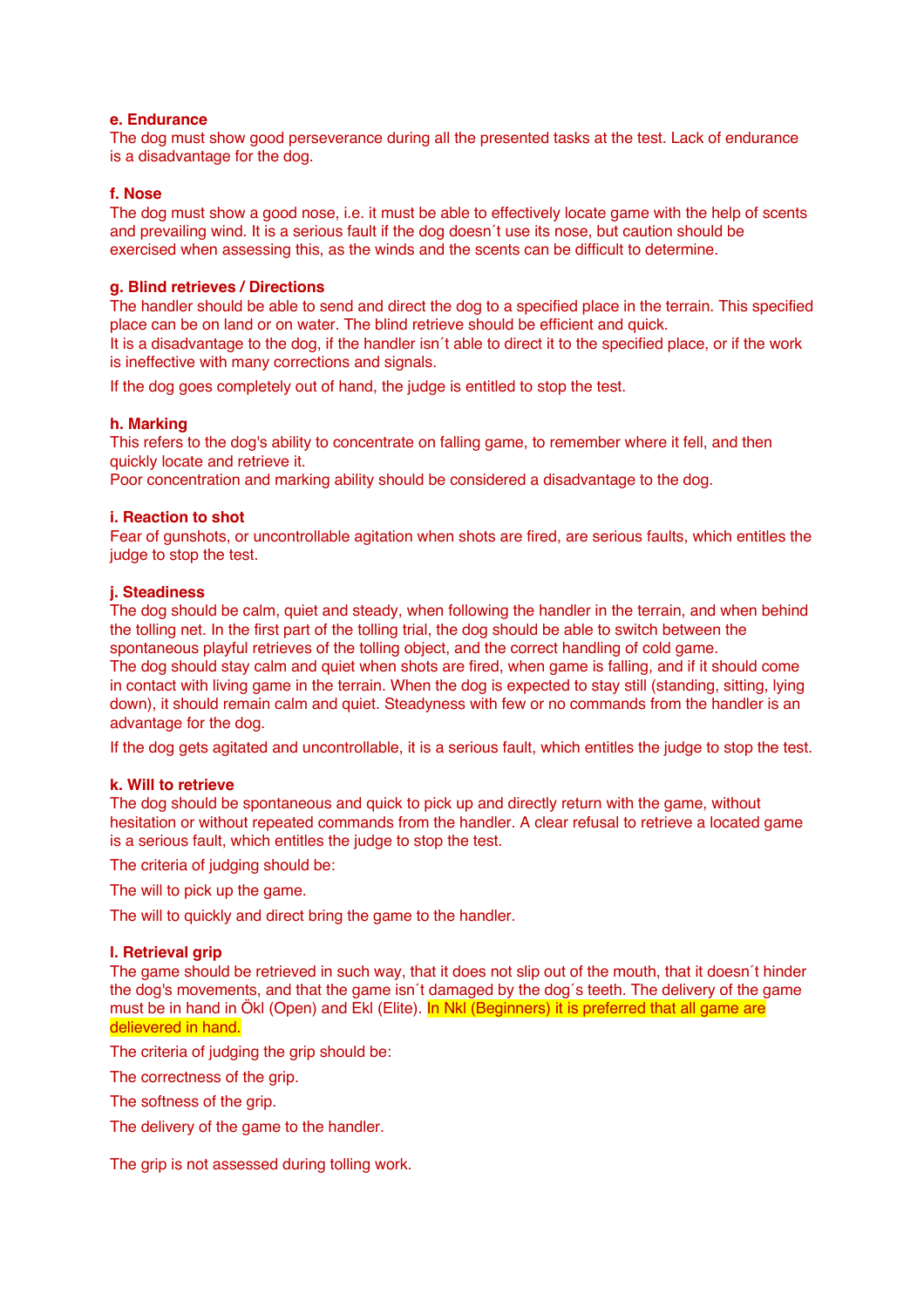# **e. Endurance**

The dog must show good perseverance during all the presented tasks at the test. Lack of endurance is a disadvantage for the dog.

# **f. Nose**

The dog must show a good nose, i.e. it must be able to effectively locate game with the help of scents and prevailing wind. It is a serious fault if the dog doesn´t use its nose, but caution should be exercised when assessing this, as the winds and the scents can be difficult to determine.

# **g. Blind retrieves / Directions**

The handler should be able to send and direct the dog to a specified place in the terrain. This specified place can be on land or on water. The blind retrieve should be efficient and quick.

It is a disadvantage to the dog, if the handler isn´t able to direct it to the specified place, or if the work is ineffective with many corrections and signals.

If the dog goes completely out of hand, the judge is entitled to stop the test.

# **h. Marking**

This refers to the dog's ability to concentrate on falling game, to remember where it fell, and then quickly locate and retrieve it.

Poor concentration and marking ability should be considered a disadvantage to the dog.

# **i. Reaction to shot**

Fear of gunshots, or uncontrollable agitation when shots are fired, are serious faults, which entitles the judge to stop the test.

# **j. Steadiness**

The dog should be calm, quiet and steady, when following the handler in the terrain, and when behind the tolling net. In the first part of the tolling trial, the dog should be able to switch between the spontaneous playful retrieves of the tolling object, and the correct handling of cold game. The dog should stay calm and quiet when shots are fired, when game is falling, and if it should come in contact with living game in the terrain. When the dog is expected to stay still (standing, sitting, lying down), it should remain calm and quiet. Steadyness with few or no commands from the handler is an advantage for the dog.

If the dog gets agitated and uncontrollable, it is a serious fault, which entitles the judge to stop the test.

# **k. Will to retrieve**

The dog should be spontaneous and quick to pick up and directly return with the game, without hesitation or without repeated commands from the handler. A clear refusal to retrieve a located game is a serious fault, which entitles the judge to stop the test.

The criteria of judging should be:

The will to pick up the game.

The will to quickly and direct bring the game to the handler.

# **l. Retrieval grip**

The game should be retrieved in such way, that it does not slip out of the mouth, that it doesn´t hinder the dog's movements, and that the game isn´t damaged by the dog´s teeth. The delivery of the game must be in hand in Ökl (Open) and Ekl (Elite). In Nkl (Beginners) it is preferred that all game are delievered in hand.

The criteria of judging the grip should be:

The correctness of the grip.

The softness of the grip.

The delivery of the game to the handler.

The grip is not assessed during tolling work.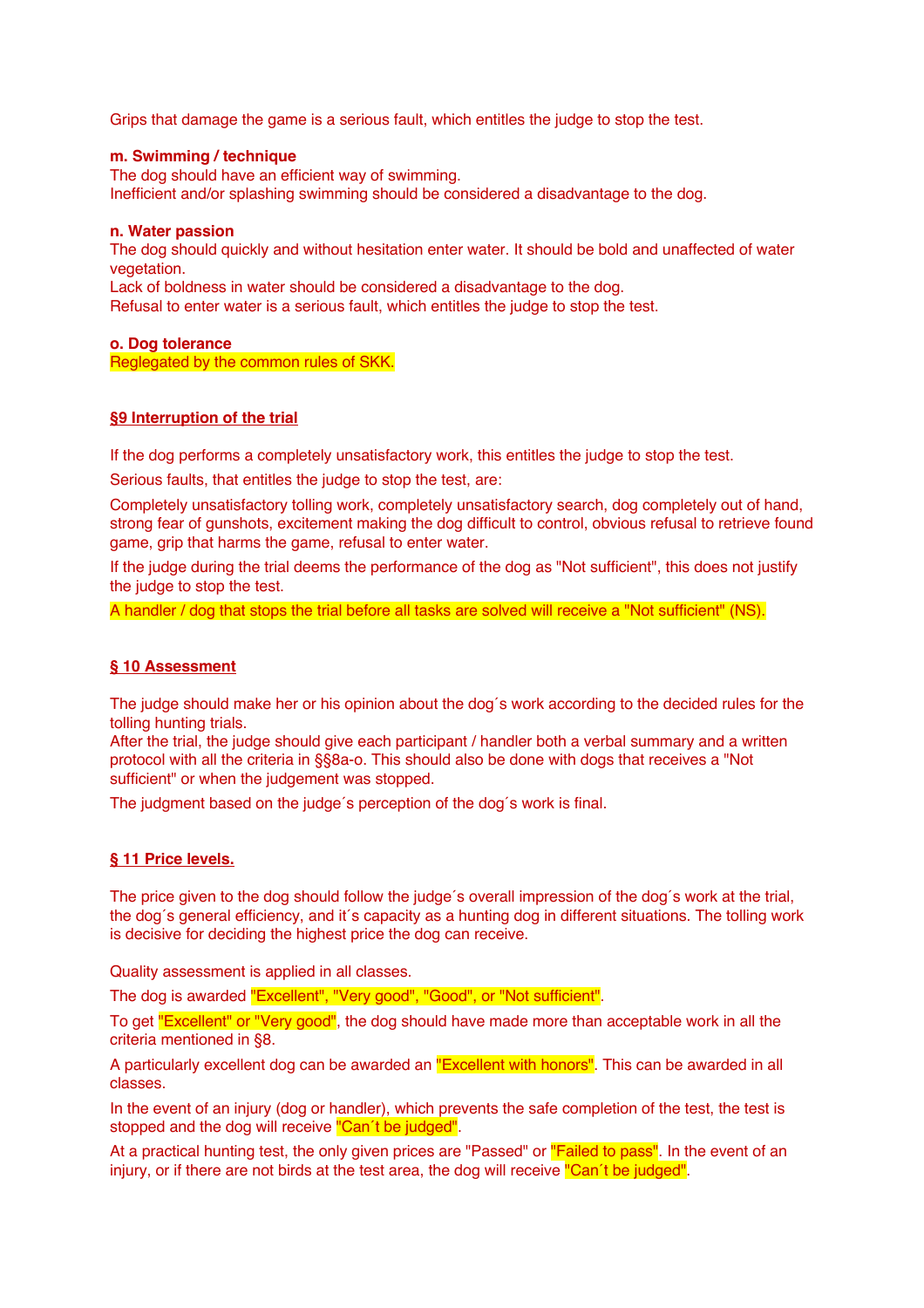Grips that damage the game is a serious fault, which entitles the judge to stop the test.

# **m. Swimming / technique**

The dog should have an efficient way of swimming. Inefficient and/or splashing swimming should be considered a disadvantage to the dog.

# **n. Water passion**

The dog should quickly and without hesitation enter water. It should be bold and unaffected of water vegetation.

Lack of boldness in water should be considered a disadvantage to the dog. Refusal to enter water is a serious fault, which entitles the judge to stop the test.

# **o. Dog tolerance**

Reglegated by the common rules of SKK.

# **§9 Interruption of the trial**

If the dog performs a completely unsatisfactory work, this entitles the judge to stop the test.

Serious faults, that entitles the judge to stop the test, are:

Completely unsatisfactory tolling work, completely unsatisfactory search, dog completely out of hand, strong fear of gunshots, excitement making the dog difficult to control, obvious refusal to retrieve found game, grip that harms the game, refusal to enter water.

If the judge during the trial deems the performance of the dog as "Not sufficient", this does not justify the judge to stop the test.

A handler / dog that stops the trial before all tasks are solved will receive a "Not sufficient" (NS).

# **§ 10 Assessment**

The judge should make her or his opinion about the dog´s work according to the decided rules for the tolling hunting trials.

After the trial, the judge should give each participant / handler both a verbal summary and a written protocol with all the criteria in §§8a-o. This should also be done with dogs that receives a "Not sufficient" or when the judgement was stopped.

The judgment based on the judge´s perception of the dog´s work is final.

# **§ 11 Price levels.**

The price given to the dog should follow the judge´s overall impression of the dog´s work at the trial, the dog´s general efficiency, and it´s capacity as a hunting dog in different situations. The tolling work is decisive for deciding the highest price the dog can receive.

Quality assessment is applied in all classes.

The dog is awarded "Excellent", "Very good", "Good", or "Not sufficient".

To get "Excellent" or "Very good", the dog should have made more than acceptable work in all the criteria mentioned in §8.

A particularly excellent dog can be awarded an "Excellent with honors". This can be awarded in all classes.

In the event of an injury (dog or handler), which prevents the safe completion of the test, the test is stopped and the dog will receive "Can't be judged".

At a practical hunting test, the only given prices are "Passed" or "Failed to pass". In the event of an injury, or if there are not birds at the test area, the dog will receive "Can't be judged".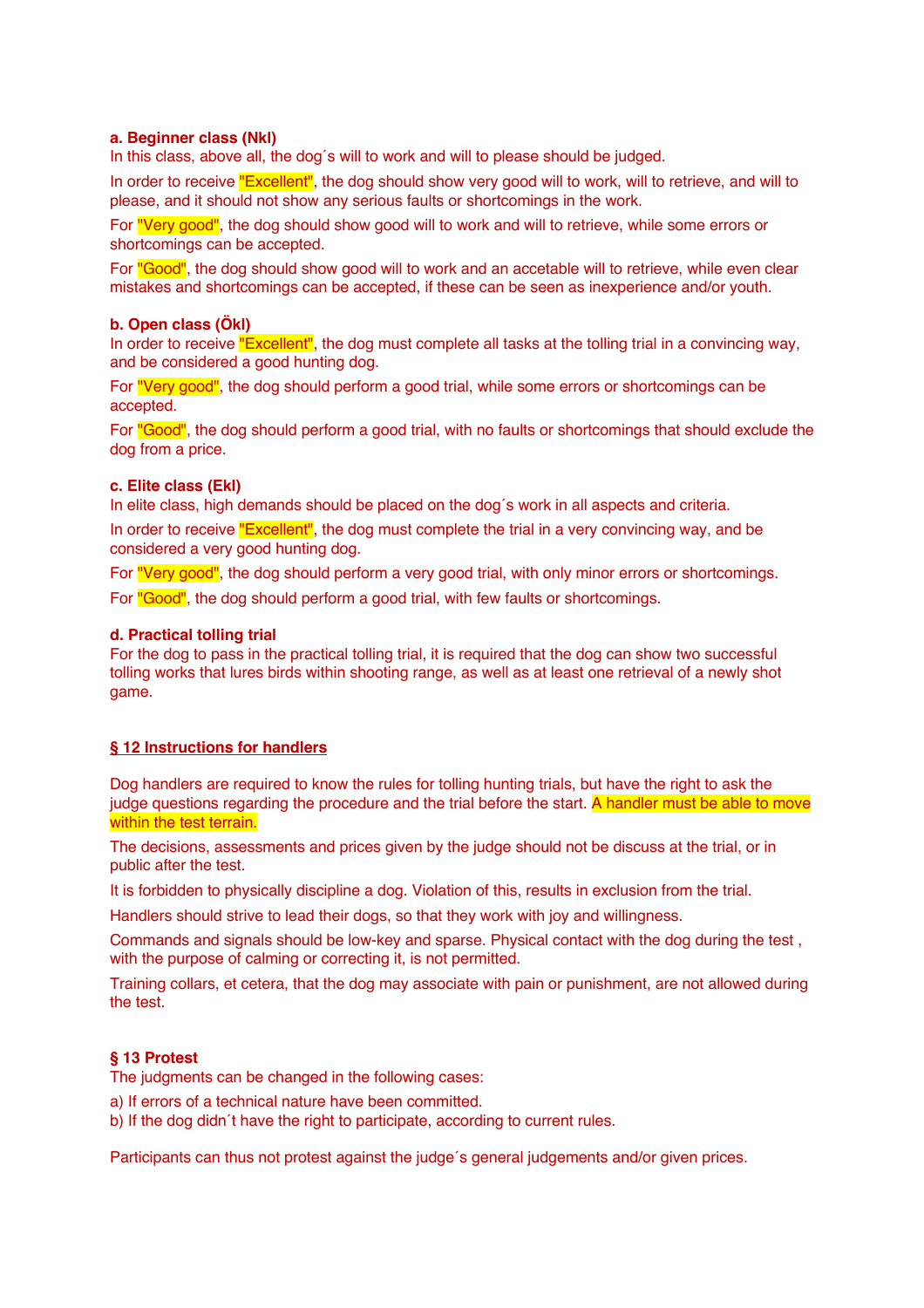# **a. Beginner class (Nkl)**

In this class, above all, the dog´s will to work and will to please should be judged.

In order to receive "Excellent", the dog should show very good will to work, will to retrieve, and will to please, and it should not show any serious faults or shortcomings in the work.

For "Very good", the dog should show good will to work and will to retrieve, while some errors or shortcomings can be accepted.

For "Good", the dog should show good will to work and an accetable will to retrieve, while even clear mistakes and shortcomings can be accepted, if these can be seen as inexperience and/or youth.

#### **b. Open class (Ökl)**

In order to receive "Excellent", the dog must complete all tasks at the tolling trial in a convincing way, and be considered a good hunting dog.

For "Very good", the dog should perform a good trial, while some errors or shortcomings can be accepted.

For "Good", the dog should perform a good trial, with no faults or shortcomings that should exclude the dog from a price.

#### **c. Elite class (Ekl)**

In elite class, high demands should be placed on the dog's work in all aspects and criteria.

In order to receive "Excellent", the dog must complete the trial in a very convincing way, and be considered a very good hunting dog.

For "Very good", the dog should perform a very good trial, with only minor errors or shortcomings. For "Good", the dog should perform a good trial, with few faults or shortcomings.

#### **d. Practical tolling trial**

For the dog to pass in the practical tolling trial, it is required that the dog can show two successful tolling works that lures birds within shooting range, as well as at least one retrieval of a newly shot game.

# **§ 12 Instructions for handlers**

Dog handlers are required to know the rules for tolling hunting trials, but have the right to ask the judge questions regarding the procedure and the trial before the start. A handler must be able to move within the test terrain.

The decisions, assessments and prices given by the judge should not be discuss at the trial, or in public after the test.

It is forbidden to physically discipline a dog. Violation of this, results in exclusion from the trial.

Handlers should strive to lead their dogs, so that they work with joy and willingness.

Commands and signals should be low-key and sparse. Physical contact with the dog during the test , with the purpose of calming or correcting it, is not permitted.

Training collars, et cetera, that the dog may associate with pain or punishment, are not allowed during the test.

#### **§ 13 Protest**

The judgments can be changed in the following cases:

a) If errors of a technical nature have been committed.

b) If the dog didn´t have the right to participate, according to current rules.

Participants can thus not protest against the judge's general judgements and/or given prices.